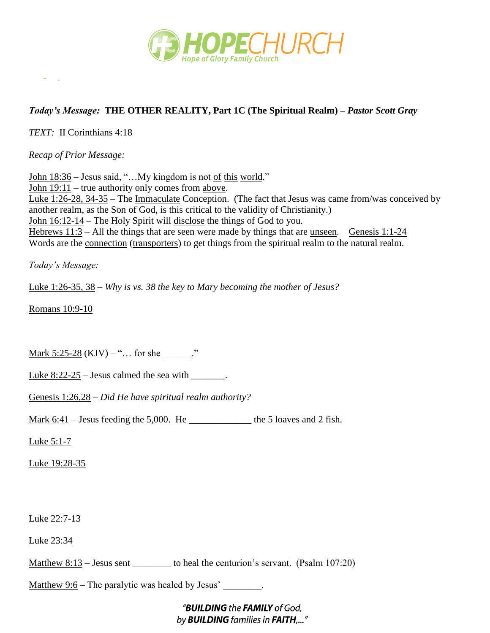

## *Today's Message:* **THE OTHER REALITY, Part 1C (The Spiritual Realm) –** *Pastor Scott Gray*

*TEXT:* II Corinthians 4:18

- .

*Recap of Prior Message:*

John 18:36 – Jesus said, "...My kingdom is not of this world." John 19:11 – true authority only comes from above. Luke 1:26-28, 34-35 – The Immaculate Conception. (The fact that Jesus was came from/was conceived by another realm, as the Son of God, is this critical to the validity of Christianity.) John 16:12-14 – The Holy Spirit will disclose the things of God to you. Hebrews  $11:3$  – All the things that are seen were made by things that are <u>unseen. Genesis 1:1-24</u> Words are the connection (transporters) to get things from the spiritual realm to the natural realm.

*Today's Message:*

Luke 1:26-35, 38 – *Why is vs. 38 the key to Mary becoming the mother of Jesus?*

Romans 10:9-10

Mark  $5:25-28$  (KJV) – "... for she  $\cdot$ "

Luke  $8:22-25$  – Jesus calmed the sea with  $\qquad \qquad$ .

Genesis 1:26,28 – *Did He have spiritual realm authority?*

Mark  $6:41$  – Jesus feeding the 5,000. He \_\_\_\_\_\_\_\_\_\_\_\_\_\_\_ the 5 loaves and 2 fish.

Luke 5:1-7

Luke 19:28-35

Luke 22:7-13

Luke 23:34

Matthew 8:13 – Jesus sent \_\_\_\_\_\_\_\_\_ to heal the centurion's servant. (Psalm 107:20)

Matthew  $9:6$  – The paralytic was healed by Jesus'.

"BUILDING the FAMILY of God, by **BUILDING** families in FAITH,..."